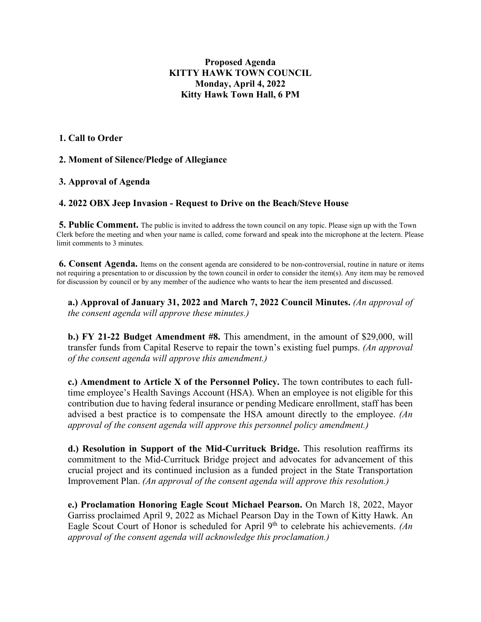## **Proposed Agenda KITTY HAWK TOWN COUNCIL Monday, April 4, 2022 Kitty Hawk Town Hall, 6 PM**

#### **1. Call to Order**

## **2. Moment of Silence/Pledge of Allegiance**

#### **3. Approval of Agenda**

#### **4. 2022 OBX Jeep Invasion - Request to Drive on the Beach/Steve House**

**5. Public Comment.** The public is invited to address the town council on any topic. Please sign up with the Town Clerk before the meeting and when your name is called, come forward and speak into the microphone at the lectern. Please limit comments to 3 minutes.

**6. Consent Agenda.** Items on the consent agenda are considered to be non-controversial, routine in nature or items not requiring a presentation to or discussion by the town council in order to consider the item(s). Any item may be removed for discussion by council or by any member of the audience who wants to hear the item presented and discussed.

**a.) Approval of January 31, 2022 and March 7, 2022 Council Minutes.** *(An approval of the consent agenda will approve these minutes.)* 

**b.) FY 21-22 Budget Amendment #8.** This amendment, in the amount of \$29,000, will transfer funds from Capital Reserve to repair the town's existing fuel pumps. *(An approval of the consent agenda will approve this amendment.)* 

**c.) Amendment to Article X of the Personnel Policy.** The town contributes to each fulltime employee's Health Savings Account (HSA). When an employee is not eligible for this contribution due to having federal insurance or pending Medicare enrollment, staff has been advised a best practice is to compensate the HSA amount directly to the employee. *(An approval of the consent agenda will approve this personnel policy amendment.)* 

**d.) Resolution in Support of the Mid-Currituck Bridge.** This resolution reaffirms its commitment to the Mid-Currituck Bridge project and advocates for advancement of this crucial project and its continued inclusion as a funded project in the State Transportation Improvement Plan. *(An approval of the consent agenda will approve this resolution.)* 

**e.) Proclamation Honoring Eagle Scout Michael Pearson.** On March 18, 2022, Mayor Garriss proclaimed April 9, 2022 as Michael Pearson Day in the Town of Kitty Hawk. An Eagle Scout Court of Honor is scheduled for April 9<sup>th</sup> to celebrate his achievements. *(An approval of the consent agenda will acknowledge this proclamation.)*